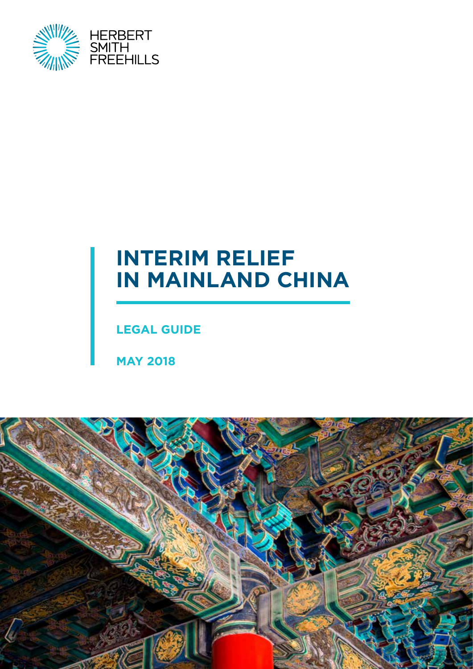

# **INTERIM RELIEF IN MAINLAND CHINA**

**LEGAL GUIDE**

**MAY 2018**

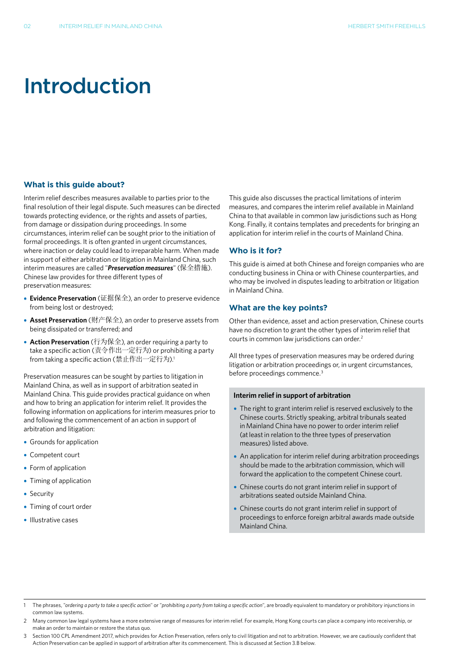# Introduction

## **What is this guide about?**

Interim relief describes measures available to parties prior to the final resolution of their legal dispute. Such measures can be directed towards protecting evidence, or the rights and assets of parties, from damage or dissipation during proceedings. In some circumstances, interim relief can be sought prior to the initiation of formal proceedings. It is often granted in urgent circumstances, where inaction or delay could lead to irreparable harm. When made in support of either arbitration or litigation in Mainland China, such interim measures are called "*Preservation measures*" (保全措施). Chinese law provides for three different types of preservation measures:

- **• Evidence Preservation** (证据保全), an order to preserve evidence from being lost or destroyed;
- **• Asset Preservation** (财产保全), an order to preserve assets from being dissipated or transferred; and
- **• Action Preservation** (行为保全), an order requiring a party to take a specific action (责令作出一定行为) or prohibiting a party from taking a specific action (禁止作出一定行为). 1

Preservation measures can be sought by parties to litigation in Mainland China, as well as in support of arbitration seated in Mainland China. This guide provides practical guidance on when and how to bring an application for interim relief. It provides the following information on applications for interim measures prior to and following the commencement of an action in support of arbitration and litigation:

- **•** Grounds for application
- **•** Competent court
- **•** Form of application
- **•** Timing of application
- **•** Security
- **•** Timing of court order
- **•** Illustrative cases

This guide also discusses the practical limitations of interim measures, and compares the interim relief available in Mainland China to that available in common law jurisdictions such as Hong Kong. Finally, it contains templates and precedents for bringing an application for interim relief in the courts of Mainland China.

## **Who is it for?**

This guide is aimed at both Chinese and foreign companies who are conducting business in China or with Chinese counterparties, and who may be involved in disputes leading to arbitration or litigation in Mainland China.

## **What are the key points?**

Other than evidence, asset and action preservation, Chinese courts have no discretion to grant the other types of interim relief that courts in common law jurisdictions can order. 2

All three types of preservation measures may be ordered during litigation or arbitration proceedings or, in urgent circumstances, before proceedings commence. 3

## **Interim relief in support of arbitration**

- **•** The right to grant interim relief is reserved exclusively to the Chinese courts. Strictly speaking, arbitral tribunals seated in Mainland China have no power to order interim relief (at least in relation to the three types of preservation measures) listed above.
- **•** An application for interim relief during arbitration proceedings should be made to the arbitration commission, which will forward the application to the competent Chinese court.
- **•** Chinese courts do not grant interim relief in support of arbitrations seated outside Mainland China.
- **•** Chinese courts do not grant interim relief in support of proceedings to enforce foreign arbitral awards made outside Mainland China.

- 1 The phrases, "*ordering a party to take a specific action*" or "*prohibiting a party from taking a specific action*", are broadly equivalent to mandatory or prohibitory injunctions in common law systems.
- 2 Many common law legal systems have a more extensive range of measures for interim relief. For example, Hong Kong courts can place a company into receivership, or make an order to maintain or restore the status quo.
- 3 Section 100 CPL Amendment 2017, which provides for Action Preservation, refers only to civil litigation and not to arbitration. However, we are cautiously confident that Action Preservation can be applied in support of arbitration after its commencement. This is discussed at Section 3.B below.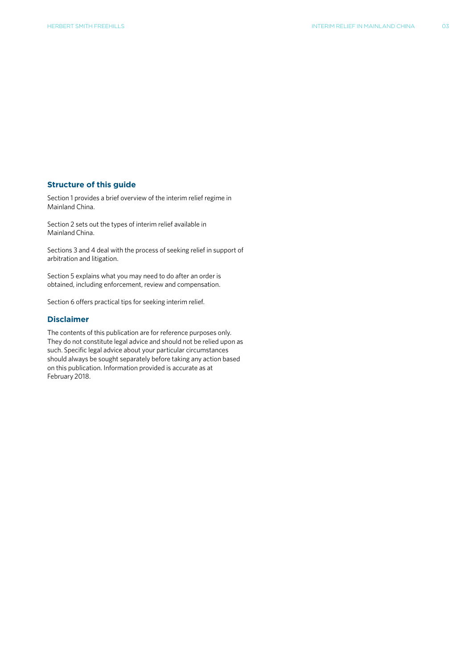### **Structure of this guide**

Section 1 provides a brief overview of the interim relief regime in Mainland China.

Section 2 sets out the types of interim relief available in Mainland China.

Sections 3 and 4 deal with the process of seeking relief in support of arbitration and litigation.

Section 5 explains what you may need to do after an order is obtained, including enforcement, review and compensation.

Section 6 offers practical tips for seeking interim relief.

# **Disclaimer**

The contents of this publication are for reference purposes only. They do not constitute legal advice and should not be relied upon as such. Specific legal advice about your particular circumstances should always be sought separately before taking any action based on this publication. Information provided is accurate as at February 2018.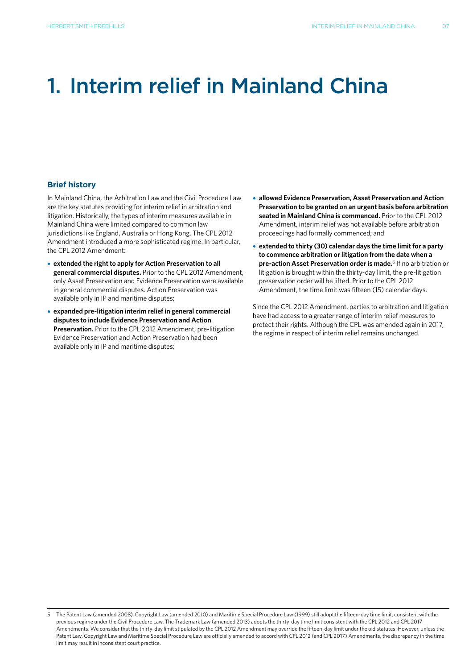# 1. Interim relief in Mainland China

## **Brief history**

In Mainland China, the Arbitration Law and the Civil Procedure Law are the key statutes providing for interim relief in arbitration and litigation. Historically, the types of interim measures available in Mainland China were limited compared to common law jurisdictions like England, Australia or Hong Kong. The CPL 2012 Amendment introduced a more sophisticated regime. In particular, the CPL 2012 Amendment:

- **• extended the right to apply for Action Preservation to all general commercial disputes.** Prior to the CPL 2012 Amendment, only Asset Preservation and Evidence Preservation were available in general commercial disputes. Action Preservation was available only in IP and maritime disputes;
- **• expanded pre-litigation interim relief in general commercial disputes to include Evidence Preservation and Action Preservation.** Prior to the CPL 2012 Amendment, pre-litigation Evidence Preservation and Action Preservation had been available only in IP and maritime disputes;
- **• allowed Evidence Preservation, Asset Preservation and Action Preservation to be granted on an urgent basis before arbitration seated in Mainland China is commenced.** Prior to the CPL 2012 Amendment, interim relief was not available before arbitration proceedings had formally commenced; and
- **• extended to thirty (30) calendar days the time limit for a party to commence arbitration or litigation from the date when a pre-action Asset Preservation order is made.**<sup>5</sup> If no arbitration or litigation is brought within the thirty-day limit, the pre-litigation preservation order will be lifted. Prior to the CPL 2012 Amendment, the time limit was fifteen (15) calendar days.

Since the CPL 2012 Amendment, parties to arbitration and litigation have had access to a greater range of interim relief measures to protect their rights. Although the CPL was amended again in 2017, the regime in respect of interim relief remains unchanged.

<sup>5</sup> The Patent Law (amended 2008), Copyright Law (amended 2010) and Maritime Special Procedure Law (1999) still adopt the fifteen-day time limit, consistent with the previous regime under the Civil Procedure Law. The Trademark Law (amended 2013) adopts the thirty-day time limit consistent with the CPL 2012 and CPL 2017 Amendments. We consider that the thirty-day limit stipulated by the CPL 2012 Amendment may override the fifteen-day limit under the old statutes. However, unless the Patent Law, Copyright Law and Maritime Special Procedure Law are officially amended to accord with CPL 2012 (and CPL 2017) Amendments, the discrepancy in the time limit may result in inconsistent court practice.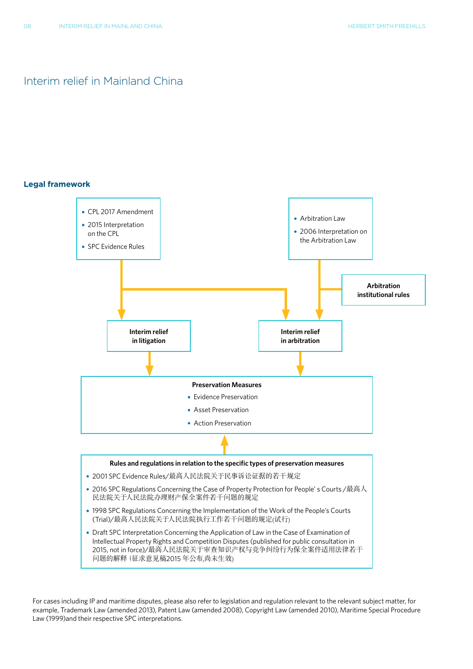# Interim relief in Mainland China

## **Legal framework**



For cases including IP and maritime disputes, please also refer to legislation and regulation relevant to the relevant subject matter, for example, Trademark Law (amended 2013), Patent Law (amended 2008), Copyright Law (amended 2010), Maritime Special Procedure Law (1999)and their respective SPC interpretations.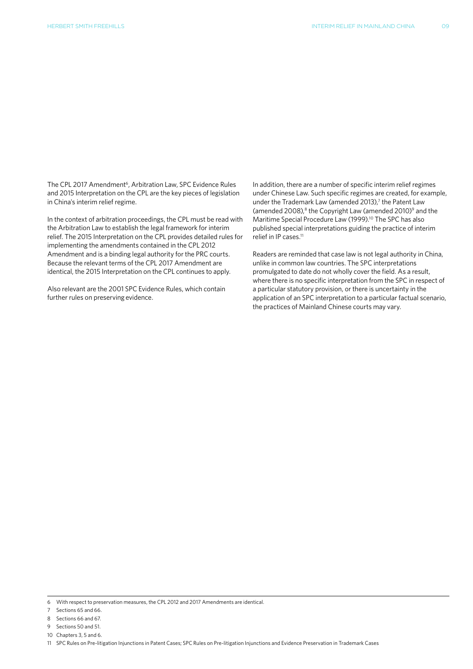The CPL 2017 Amendment<sup>6</sup>, Arbitration Law, SPC Evidence Rules and 2015 Interpretation on the CPL are the key pieces of legislation in China's interim relief regime.

In the context of arbitration proceedings, the CPL must be read with the Arbitration Law to establish the legal framework for interim relief. The 2015 Interpretation on the CPL provides detailed rules for implementing the amendments contained in the CPL 2012 Amendment and is a binding legal authority for the PRC courts. Because the relevant terms of the CPL 2017 Amendment are identical, the 2015 Interpretation on the CPL continues to apply.

Also relevant are the 2001 SPC Evidence Rules, which contain further rules on preserving evidence.

In addition, there are a number of specific interim relief regimes under Chinese Law. Such specific regimes are created, for example, under the Trademark Law (amended 2013),<sup>7</sup> the Patent Law (amended 2008), $8$  the Copyright Law (amended 2010) $9$  and the Maritime Special Procedure Law (1999). 10 The SPC has also published special interpretations guiding the practice of interim relief in IP cases. 11

Readers are reminded that case law is not legal authority in China, unlike in common law countries. The SPC interpretations promulgated to date do not wholly cover the field. As a result, where there is no specific interpretation from the SPC in respect of a particular statutory provision, or there is uncertainty in the application of an SPC interpretation to a particular factual scenario, the practices of Mainland Chinese courts may vary.

7 Sections 65 and 66.

9 Sections 50 and 51.

<sup>6</sup> With respect to preservation measures, the CPL 2012 and 2017 Amendments are identical.

<sup>8</sup> Sections 66 and 67.

<sup>10</sup> Chapters 3, 5 and 6.

<sup>11</sup> SPC Rules on Pre-litigation Injunctions in Patent Cases; SPC Rules on Pre-litigation Injunctions and Evidence Preservation in Trademark Cases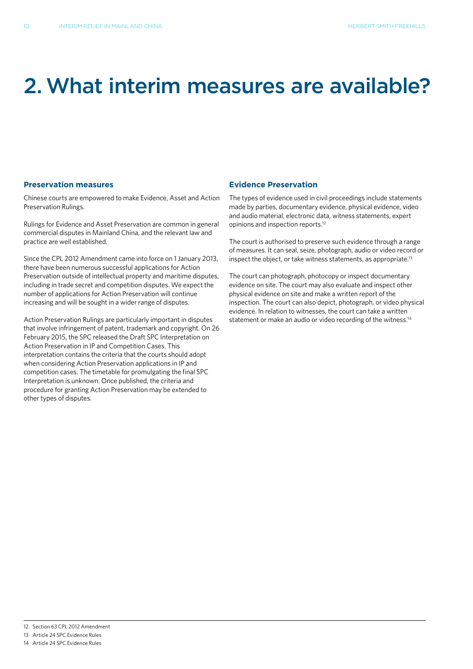# 2.What interim measures are available?

## **Preservation measures**

Chinese courts are empowered to make Evidence, Asset and Action Preservation Rulings.

Rulings for Evidence and Asset Preservation are common in general commercial disputes in Mainland China, and the relevant law and practice are well established.

Since the CPL 2012 Amendment came into force on 1 January 2013, there have been numerous successful applications for Action Preservation outside of intellectual property and maritime disputes, including in trade secret and competition disputes. We expect the number of applications for Action Preservation will continue increasing and will be sought in a wider range of disputes.

Action Preservation Rulings are particularly important in disputes that involve infringement of patent, trademark and copyright. On 26 February 2015, the SPC released the Draft SPC Interpretation on Action Preservation in IP and Competition Cases. This interpretation contains the criteria that the courts should adopt when considering Action Preservation applications in IP and competition cases. The timetable for promulgating the final SPC Interpretation is unknown. Once published, the criteria and procedure for granting Action Preservation may be extended to other types of disputes.

## **Evidence Preservation**

The types of evidence used in civil proceedings include statements made by parties, documentary evidence, physical evidence, video and audio material, electronic data, witness statements, expert opinions and inspection reports. 12

The court is authorised to preserve such evidence through a range of measures. It can seal, seize, photograph, audio or video record or inspect the object, or take witness statements, as appropriate.<sup>13</sup>

The court can photograph, photocopy or inspect documentary evidence on site. The court may also evaluate and inspect other physical evidence on site and make a written report of the inspection. The court can also depict, photograph, or video physical evidence. In relation to witnesses, the court can take a written statement or make an audio or video recording of the witness.<sup>14</sup>

<sup>12</sup> Section 63 CPL 2012 Amendment

<sup>13</sup> Article 24 SPC Evidence Rules

<sup>14</sup> Article 24 SPC Evidence Rules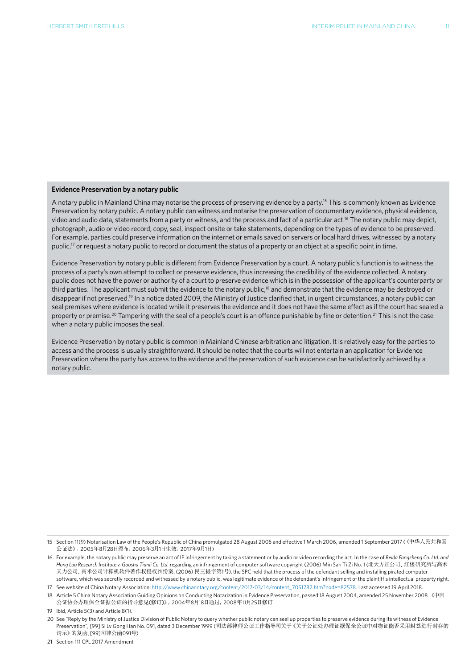### **Evidence Preservation by a notary public**

A notary public in Mainland China may notarise the process of preserving evidence by a party. 15 This is commonly known as Evidence Preservation by notary public. A notary public can witness and notarise the preservation of documentary evidence, physical evidence, video and audio data, statements from a party or witness, and the process and fact of a particular act. 16 The notary public may depict, photograph, audio or video record, copy, seal, inspect onsite or take statements, depending on the types of evidence to be preserved. For example, parties could preserve information on the internet or emails saved on servers or local hard drives, witnessed by a notary public,<sup>17</sup> or request a notary public to record or document the status of a property or an object at a specific point in time.

Evidence Preservation by notary public is different from Evidence Preservation by a court. A notary public's function is to witness the process of a party's own attempt to collect or preserve evidence, thus increasing the credibility of the evidence collected. A notary public does not have the power or authority of a court to preserve evidence which is in the possession of the applicant's counterparty or third parties. The applicant must submit the evidence to the notary public,<sup>18</sup> and demonstrate that the evidence may be destroyed or disappear if not preserved.<sup>19</sup> In a notice dated 2009, the Ministry of Justice clarified that, in urgent circumstances, a notary public can seal premises where evidence is located while it preserves the evidence and it does not have the same effect as if the court had sealed a property or premise.<sup>20</sup> Tampering with the seal of a people's court is an offence punishable by fine or detention.<sup>21</sup> This is not the case when a notary public imposes the seal.

Evidence Preservation by notary public is common in Mainland Chinese arbitration and litigation. It is relatively easy for the parties to access and the process is usually straightforward. It should be noted that the courts will not entertain an application for Evidence Preservation where the party has access to the evidence and the preservation of such evidence can be satisfactorily achieved by a notary public.

21 Section 111 CPL 2017 Amendment

<sup>15</sup> Section 11(9) Notarisation Law of the People's Republic of China promulgated 28 August 2005 and effective 1 March 2006, amended 1 September 2017 (《中华人民共和国 公证法》,2005年8月28日颁布,2006年3月1日生效,2017年9月1日)

<sup>16</sup> For example, the notary public may preserve an act of IP infringement by taking a statement or by audio or video recording the act. In the case of *Beida Fangzheng Co. Ltd. and Hong Lou Research Institute v. Gaoshu Tianli Co. Ltd.* regarding an infringement of computer software copyright (2006) Min San Ti Zi No. 1 (北大方正公司、红楼研究所与高术 天力公司、高术公司计算机软件著作权侵权纠纷案, (2006) 民三提字第1号), the SPC held that the process of the defendant selling and installing pirated computer software, which was secretly recorded and witnessed by a notary public, was legitimate evidence of the defendant's infringement of the plaintiff's intellectual property right.

<sup>17</sup> See website of China Notary Association: http://www.chinanotary.org/content/2017-03/14/content\_7051782.htm?node=82578. Last accessed 19 April 2018.

<sup>18</sup> Article 5 China Notary Association Guiding Opinions on Conducting Notarization in Evidence Preservation, passed 18 August 2004, amended 25 November 2008《中国 公证协会办理保全证据公证的指导意见(修订)》,2004年8月18日通过,2008年11月25日修订

<sup>19</sup> Ibid, Article 5(3) and Article 8(1).

<sup>20</sup> See "Reply by the Ministry of Justice Division of Public Notary to query whether public notary can seal up properties to preserve evidence during its witness of Evidence Preservation", [99] Si Lv Gong Han No. 091, dated 3 December 1999 (司法部律师公证工作指导司关于《关于公证处办理证据保全公证中对物证能否采用封签进行封存的 请示》的复函, [99]司律公函091号)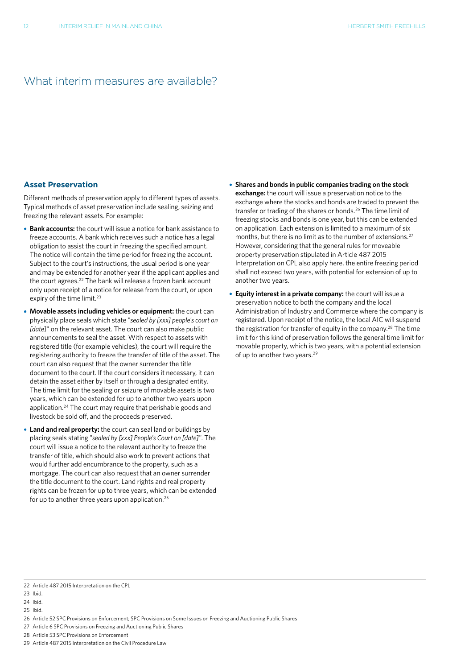# What interim measures are available?

### **Asset Preservation**

Different methods of preservation apply to different types of assets. Typical methods of asset preservation include sealing, seizing and freezing the relevant assets. For example:

- **• Bank accounts:** the court will issue a notice for bank assistance to freeze accounts. A bank which receives such a notice has a legal obligation to assist the court in freezing the specified amount. The notice will contain the time period for freezing the account. Subject to the court's instructions, the usual period is one year and may be extended for another year if the applicant applies and the court agrees. 22 The bank will release a frozen bank account only upon receipt of a notice for release from the court, or upon expiry of the time limit. 23
- **• Movable assets including vehicles or equipment:** the court can physically place seals which state "*sealed by [xxx] people's court on [date]*" on the relevant asset. The court can also make public announcements to seal the asset. With respect to assets with registered title (for example vehicles), the court will require the registering authority to freeze the transfer of title of the asset. The court can also request that the owner surrender the title document to the court. If the court considers it necessary, it can detain the asset either by itself or through a designated entity. The time limit for the sealing or seizure of movable assets is two years, which can be extended for up to another two years upon application. 24 The court may require that perishable goods and livestock be sold off, and the proceeds preserved.
- **• Land and real property:** the court can seal land or buildings by placing seals stating "*sealed by [xxx] People's Court on [date]*". The court will issue a notice to the relevant authority to freeze the transfer of title, which should also work to prevent actions that would further add encumbrance to the property, such as a mortgage. The court can also request that an owner surrender the title document to the court. Land rights and real property rights can be frozen for up to three years, which can be extended for up to another three years upon application.<sup>25</sup>
- **• Shares and bonds in public companies trading on the stock exchange:** the court will issue a preservation notice to the exchange where the stocks and bonds are traded to prevent the transfer or trading of the shares or bonds. 26 The time limit of freezing stocks and bonds is one year, but this can be extended on application. Each extension is limited to a maximum of six months, but there is no limit as to the number of extensions. 27 However, considering that the general rules for moveable property preservation stipulated in Article 487 2015 Interpretation on CPL also apply here, the entire freezing period shall not exceed two years, with potential for extension of up to another two years.
- **• Equity interest in a private company:** the court will issue a preservation notice to both the company and the local Administration of Industry and Commerce where the company is registered. Upon receipt of the notice, the local AIC will suspend the registration for transfer of equity in the company. 28 The time limit for this kind of preservation follows the general time limit for movable property, which is two years, with a potential extension of up to another two years.<sup>29</sup>

23 Ibid.

- 27 Article 6 SPC Provisions on Freezing and Auctioning Public Shares
- 28 Article 53 SPC Provisions on Enforcement
- 29 Article 487 2015 Interpretation on the Civil Procedure Law

<sup>22</sup> Article 487 2015 Interpretation on the CPL

<sup>24</sup> Ibid.

<sup>25</sup> Ibid.

<sup>26</sup> Article 52 SPC Provisions on Enforcement; SPC Provisions on Some Issues on Freezing and Auctioning Public Shares